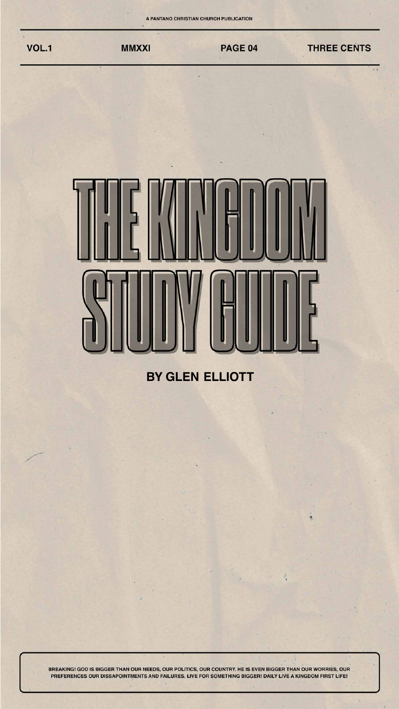

### 

#### **BY GLEN ELLIOTT**

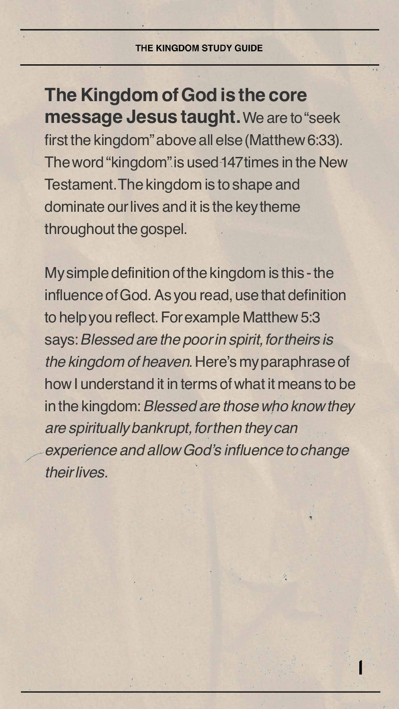

**THE KINGDOM STUDY GUIDE** 

**The Kingdom of God is the core message Jesus taught.** We are to "seek first the kingdom" above all else (Matthew 6:33). The word "kingdom" is used 147 times in the New Testament. The kingdom is to shape and dominate our lives and it is the key theme throughout the gospel.

My simple definition of the kingdom is this - the influence of God. As you read, use that definition to help you reflect. For example Matthew 5:3

says: *Blessed are the poor in spirit, for theirs is the kingdom of heaven*. Here's my paraphrase of how I understand it in terms of what it means to be in the kingdom: *Blessed are those who know they are spiritually bankrupt, for then they can*  experience and allow God's influence to change *their lives.*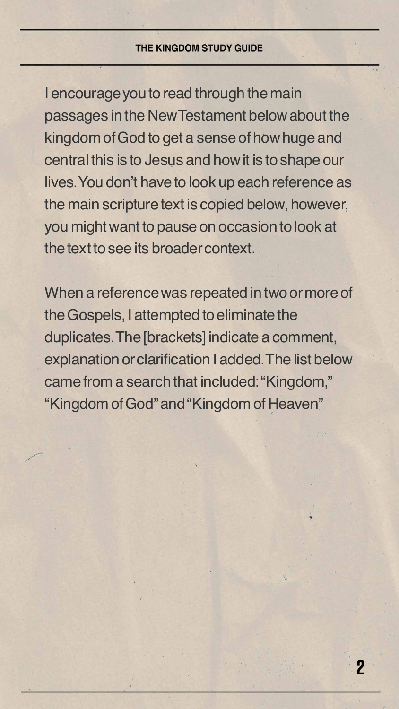

I encourage you to read through the main passages in the New Testament below about the kingdom of God to get a sense of how huge and central this is to Jesus and how it is to shape our lives. You don't have to look up each reference as the main scripture text is copied below, however, you might want to pause on occasion to look at the text to see its broader context.

When a reference was repeated in two or more of the Gospels, I attempted to eliminate the duplicates. The [brackets] indicate a comment, explanation or clarification I added. The list below came from a search that included: "Kingdom," "Kingdom of God" and "Kingdom of Heaven"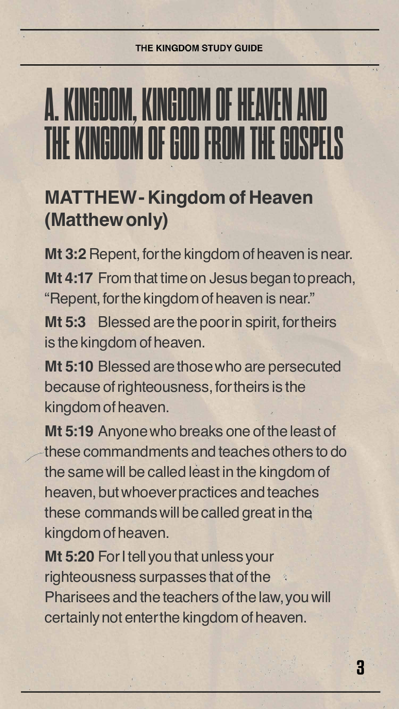THE KINGDOM STUDY GUIDE



# **A. KINGDOM, KINGDOM OF HEAVEN AND THE KING GOOD FROM THE GOD**

#### **MATTHEW - Kingdom of Heaven (Matthew only)**

**Mt 3:2** Repent, for the kingdom of heaven is near. **Mt 4:17** From that time on Jesus began to preach, "Repent, for the kingdom of heaven is near." **Mt 5:3** Blessed are the poor in spirit, for theirs

is the kingdom of heaven.

**Mt 5:10** Blessed are those who are persecuted because of righteousness, for theirs is the kingdom of heaven.

**Mt 5:19** Anyone who breaks one of the least of these commandments and teaches others to do the same will be called least in the kingdom of heaven, but whoever practices and teaches these commands will be called great in the kingdom of heaven.

**Mt 5:20** For I tell you that unless your righteousness surpasses that of the Pharisees and the teachers of the law, you will certainly not enter the kingdom of heaven.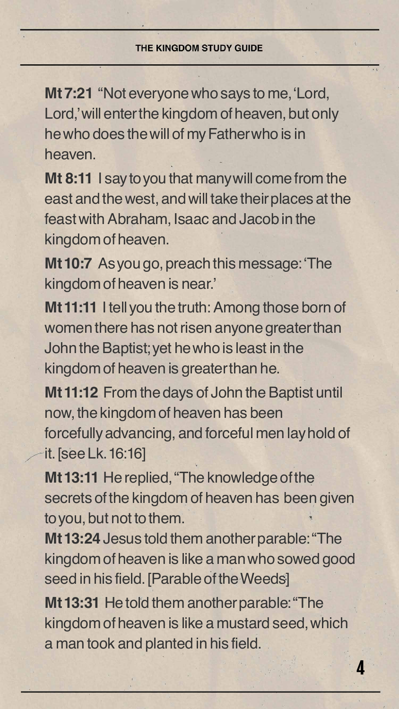

**Mt 7:21** "Not everyone who says to me, 'Lord, Lord,' will enter the kingdom of heaven, but only he who does the will of my Father who is in heaven.

**Mt 8:11** I say to you that many will come from the east and the west, and will take their places at the feast with Abraham, Isaac and Jacob in the kingdom of heaven.

**Mt 10:7** As you go, preach this message: 'The kingdom of heaven is near.'

**Mt 11:11** I tell you the truth: Among those born of women there has not risen anyone greater than John the Baptist; yet he who is least in the kingdom of heaven is greater than he.

**Mt 11:12** From the days of John the Baptist until now, the kingdom of heaven has been forcefully advancing, and forceful men lay hold of it. [see Lk. 16:16]

**Mt 13:11** He replied, "The knowledge of the secrets of the kingdom of heaven has been given to you, but not to them.

**Mt 13:24** Jesus told them another parable: "The kingdom of heaven is like a man who sowed good seed in his field. [Parable of the Weeds]

**Mt 13:31** He told them another parable: "The kingdom of heaven is like a mustard seed, which a man took and planted in his field.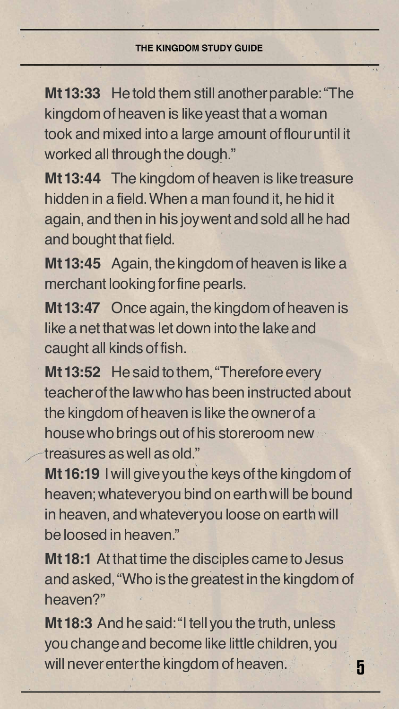

**Mt 13:33** He told them still another parable: "The kingdom of heaven is like yeast that a woman took and mixed into a large amount of flour until it worked all through the dough."

**Mt 13:44** The kingdom of heaven is like treasure hidden in a field. When a man found it, he hid it again, and then in his joy went and sold all he had and bought that field.

Mt 13:52 He said to them, "Therefore every teacher of the law who has been instructed about the kingdom of heaven is like the owner of a house who brings out of his storeroom new treasures as well as old."

**Mt 13:45** Again, the kingdom of heaven is like a merchant looking for fine pearls.

**Mt 13:47** Once again, the kingdom of heaven is like a net that was let down into the lake and caught all kinds of fish.

**Mt 16:19** I will give you the keys of the kingdom of heaven; whatever you bind on earth will be bound in heaven, and whatever you loose on earth will be loosed in heaven."

**Mt 18:1** At that time the disciples came to Jesus and asked, "Who is the greatest in the kingdom of heaven?"

**Mt 18:3** And he said: "I tell you the truth, unless you change and become like little children, you will never enter the kingdom of heaven.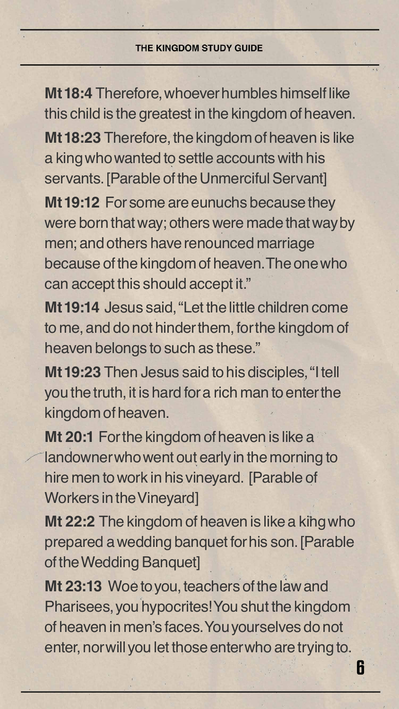

**Mt 18:4** Therefore, whoever humbles himself like this child is the greatest in the kingdom of heaven. **Mt 18:23** Therefore, the kingdom of heaven is like a king who wanted to settle accounts with his servants. [Parable of the Unmerciful Servant] **Mt 19:12** For some are eunuchs because they were born that way; others were made that way by men; and others have renounced marriage because of the kingdom of heaven. The one who can accept this should accept it." **Mt 19:14** Jesus said, "Let the little children come

to me, and do not hinder them, for the kingdom of heaven belongs to such as these."

**Mt 19:23** Then Jesus said to his disciples, "I tell you the truth, it is hard for a rich man to enter the kingdom of heaven.

**Mt 20:1** For the kingdom of heaven is like a landowner who went out early in the morning to hire men to work in his vineyard. [Parable of Workers in the Vineyard]

**Mt 22:2** The kingdom of heaven is like a king who prepared a wedding banquet for his son. [Parable of the Wedding Banquet]

**Mt 23:13** Woe to you, teachers of the law and Pharisees, you hypocrites! You shut the kingdom of heaven in men's faces. You yourselves do not enter, nor will you let those enter who are trying to.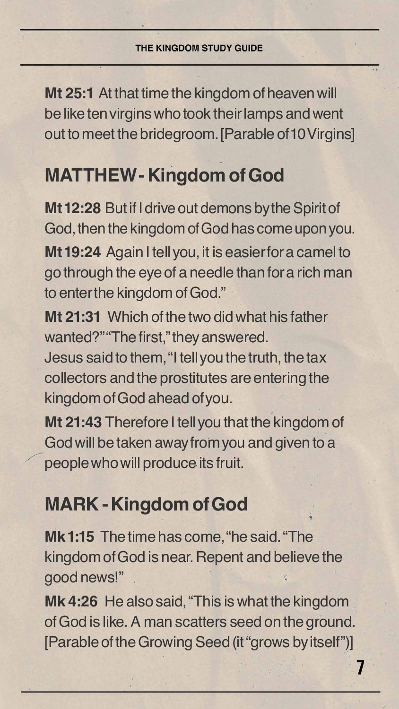

**Mt 25:1** At that time the kingdom of heaven will be like ten virgins who took their lamps and went out to meet the bridegroom. [Parable of 10 Virgins]

#### **MATTHEW - Kingdom of God**

**Mt 12:28** But if I drive out demons by the Spirit of God, then the kingdom of God has come upon you. **Mt 19:24** Again I tell you, it is easier for a camel to go through the eye of a needle than for a rich man to enter the kingdom of God."

wanted?""The first,"they answered. Jesus said to them, "I tell you the truth, the tax collectors and the prostitutes are entering the kingdom of God ahead of you. **Mt 21:43** Therefore I tell you that the kingdom of

**Mt 21:31** Which of the two did what his father

God will be taken away from you and given to a people who will produce its fruit.

#### **MARK - Kingdom of God**

**Mk 1:15** The time has come, "he said. "The kingdom of God is near. Repent and believe the good news!"

**Mk 4:26** He also said, "This is what the kingdom of God is like. A man scatters seed on the ground. [Parable of the Growing Seed (it "grows by itself")]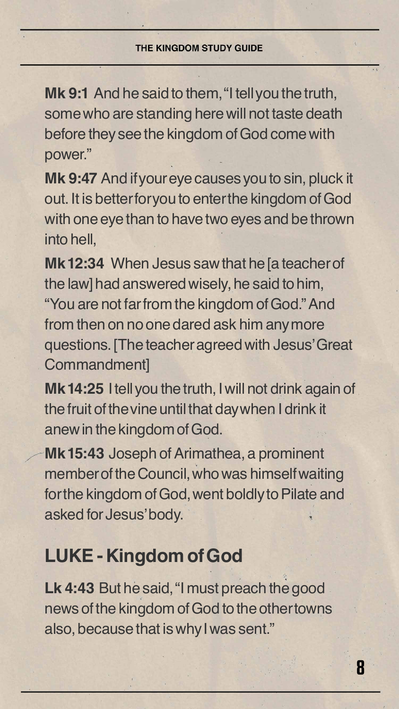

**Mk 9:1** And he said to them, "I tell you the truth, some who are standing here will not taste death before they see the kingdom of God come with power."

**Mk 9:47** And if your eye causes you to sin, pluck it out. It is better for you to enter the kingdom of God with one eye than to have two eyes and be thrown into hell,

**Mk 12:34** When Jesus saw that he [a teacher of the law] had answered wisely, he said to him, "You are not far from the kingdom of God." And from then on no one dared ask him any more

questions. [The teacher agreed with Jesus' Great Commandment]

**Mk 14:25** I tell you the truth, I will not drink again of the fruit of the vine until that day when I drink it anew in the kingdom of God.

**Mk 15:43** Joseph of Arimathea, a prominent member of the Council, who was himself waiting for the kingdom of God, went boldly to Pilate and asked for Jesus' body.

#### **LUKE - Kingdom of God**

**Lk 4:43** But he said, "I must preach the good news of the kingdom of God to the other towns also, because that is why I was sent."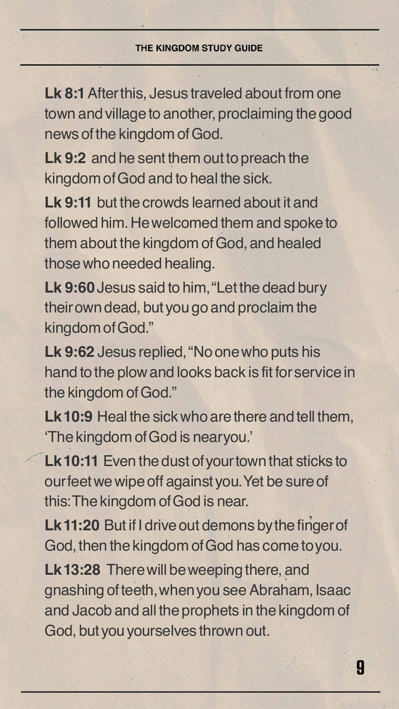

**Lk 8:1** After this, Jesus traveled about from one town and village to another, proclaiming the good news of the kingdom of God.

**Lk 9:2** and he sent them out to preach the kingdom of God and to heal the sick.

**Lk 9:11** but the crowds learned about it and followed him. He welcomed them and spoke to them about the kingdom of God, and healed those who needed healing.

**Lk 9:60** Jesus said to him, "Let the dead bury their own dead, but you go and proclaim the kingdom of God."

**Lk 9:62** Jesus replied, "No one who puts his hand to the plow and looks back is fit for service in the kingdom of God."

- **Lk 10:9** Heal the sick who are there and tell them, 'The kingdom of God is near you.'
- **Lk 10:11** Even the dust of your town that sticks to our feet we wipe off against you. Yet be sure of this: The kingdom of God is near.
- **Lk 11:20** But if I drive out demons by the finger of God, then the kingdom of God has come to you.

**Lk 13:28** There will be weeping there, and gnashing of teeth, when you see Abraham, Isaac and Jacob and all the prophets in the kingdom of God, but you yourselves thrown out.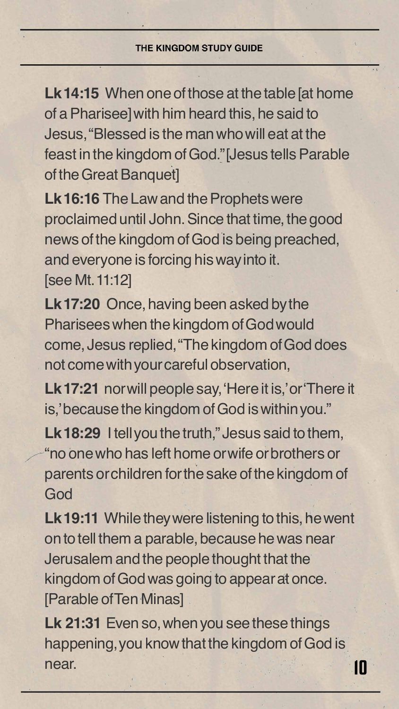Lk 14:15 When one of those at the table [at home of a Pharisee] with him heard this, he said to Jesus, "Blessed is the man who will eat at the feast in the kingdom of God." [Jesus tells Parable of the Great Banquet]

**Lk 16:16** The Law and the Prophets were proclaimed until John. Since that time, the good news of the kingdom of God is being preached, and everyone is forcing his way into it. [see Mt. 11:12]

Lk 17:21 nor will people say, 'Here it is,' or 'There it is,' because the kingdom of God is within you."

Lk 18:29 I tell you the truth," Jesus said to them, "no one who has left home or wife or brothers or parents or children for the sake of the kingdom of God

**Lk 17:20** Once, having been asked by the Pharisees when the kingdom of God would come, Jesus replied, "The kingdom of God does not come with your careful observation,



**Lk 19:11** While they were listening to this, he went on to tell them a parable, because he was near Jerusalem and the people thought that the kingdom of God was going to appear at once. [Parable of Ten Minas]

**Lk 21:31** Even so, when you see these things happening, you know that the kingdom of God is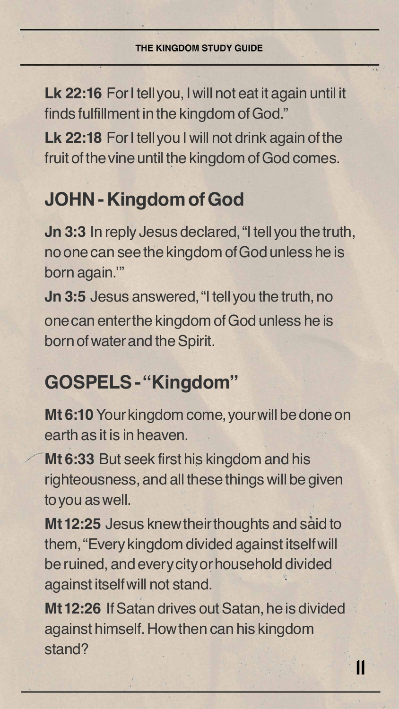

**Lk 22:16** For I tell you, I will not eat it again until it finds fulfillment in the kingdom of God." Lk 22:18 For I tell you I will not drink again of the fruit of the vine until the kingdom of God comes.

### **JOHN - Kingdom of God**

**Jn 3:3** In reply Jesus declared, "I tell you the truth, no one can see the kingdom of God unless he is born again.'"

**Jn 3:5** Jesus answered, "I tell you the truth, no one can enter the kingdom of God unless he is

born of water and the Spirit.

### **GOSPELS - "Kingdom"**

**Mt 6:10** Your kingdom come, your will be done on earth as it is in heaven.

**Mt 6:33** But seek first his kingdom and his righteousness, and all these things will be given to you as well.

**Mt 12:25** Jesus knew their thoughts and said to them, "Every kingdom divided against itself will be ruined, and every city or household divided against itself will not stand.

**Mt 12:26** If Satan drives out Satan, he is divided against himself. How then can his kingdom stand?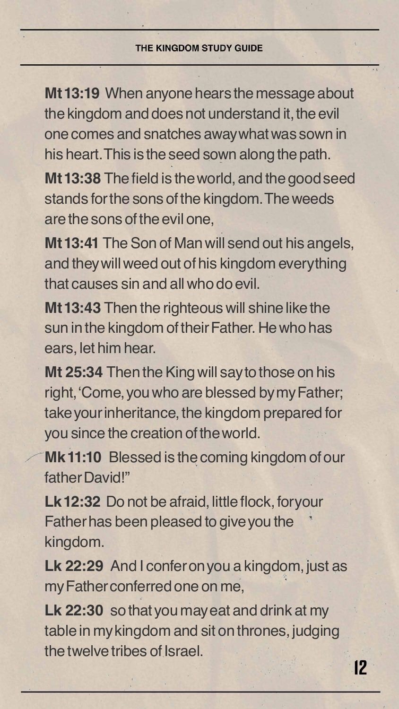

**Mt 13:19** When anyone hears the message about the kingdom and does not understand it, the evil one comes and snatches away what was sown in his heart. This is the seed sown along the path. **Mt 13:38** The field is the world, and the good seed stands for the sons of the kingdom. The weeds are the sons of the evil one,

**Mt 13:41** The Son of Man will send out his angels, and they will weed out of his kingdom everything that causes sin and all who do evil.

Lk 12:32 Do not be afraid, little flock, for your Father has been pleased to give you the kingdom.

Lk 22:29 And I confer on you a kingdom, just as my Father conferred one on me,

**Mt 13:43** Then the righteous will shine like the sun in the kingdom of their Father. He who has ears, let him hear.

**Mt 25:34** Then the King will say to those on his right, 'Come, you who are blessed by my Father; take your inheritance, the kingdom prepared for you since the creation of the world.

**Mk 11:10** Blessed is the coming kingdom of our father David!"

**Lk 22:30** so that you may eat and drink at my table in my kingdom and sit on thrones, judging the twelve tribes of Israel.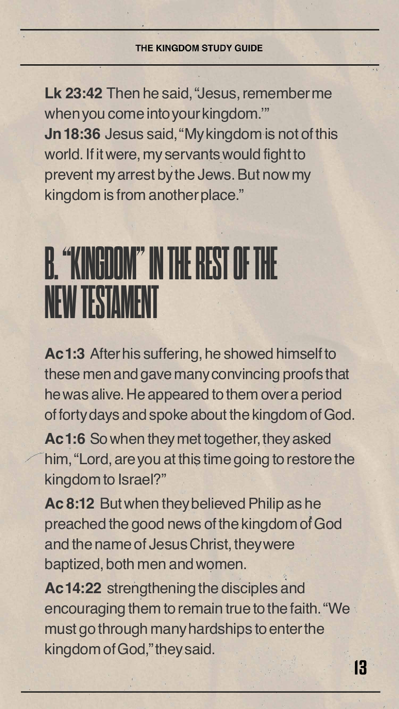

**Lk 23:42** Then he said, "Jesus, remember me when you come into your kingdom.'" **Jn 18:36** Jesus said, "My kingdom is not of this world. If it were, my servants would fight to prevent my arrest by the Jews. But now my kingdom is from another place."

## **B. THE REST OF NEW TESTAMENT**

**Ac 1:3** After his suffering, he showed himself to these men and gave many convincing proofs that he was alive. He appeared to them over a period of forty days and spoke about the kingdom of God.

**Ac 1:6** So when they met together, they asked him, "Lord, are you at this time going to restore the kingdom to Israel?"

**Ac 8:12** But when they believed Philip as he preached the good news of the kingdom of God and the name of Jesus Christ, they were baptized, both men and women.

**Ac 14:22** strengthening the disciples and encouraging them to remain true to the faith. "We must go through many hardships to enter the kingdom of God," they said.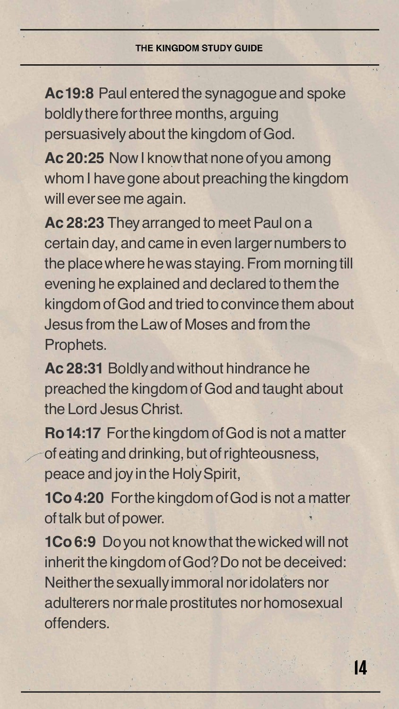

**Ac 19:8** Paul entered the synagogue and spoke boldly there for three months, arguing persuasively about the kingdom of God.

**Ac 20:25** Now I know that none of you among whom I have gone about preaching the kingdom will ever see me again.

**Ac 28:23** They arranged to meet Paul on a certain day, and came in even larger numbers to the place where he was staying. From morning till evening he explained and declared to them the kingdom of God and tried to convince them about Jesus from the Law of Moses and from the

Prophets.

**Ac 28:31** Boldly and without hindrance he preached the kingdom of God and taught about the Lord Jesus Christ.

**Ro 14:17** For the kingdom of God is not a matter of eating and drinking, but of righteousness, peace and joy in the Holy Spirit,

**1Co 4:20** For the kingdom of God is not a matter of talk but of power.

**1Co 6:9** Do you not know that the wicked will not inherit the kingdom of God? Do not be deceived: Neither the sexually immoral nor idolaters nor adulterers nor male prostitutes nor homosexual offenders.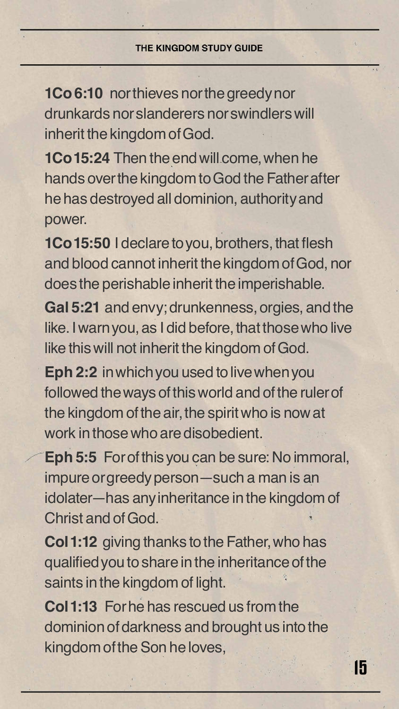

**1Co 6:10** nor thieves nor the greedy nor drunkards nor slanderers nor swindlers will inherit the kingdom of God.

**1Co 15:24** Then the end will come, when he hands over the kingdom to God the Father after he has destroyed all dominion, authority and power.

**1Co 15:50** I declare to you, brothers, that flesh and blood cannot inherit the kingdom of God, nor does the perishable inherit the imperishable.

**Gal 5:21** and envy; drunkenness, orgies, and the like. I warn you, as I did before, that those who live like this will not inherit the kingdom of God.

**Eph 2:2** in which you used to live when you followed the ways of this world and of the ruler of the kingdom of the air, the spirit who is now at work in those who are disobedient.

**Eph 5:5** For of this you can be sure: No immoral, impure or greedy person—such a man is an idolater—has any inheritance in the kingdom of Christ and of God.

**Col 1:12** giving thanks to the Father, who has qualified you to share in the inheritance of the saints in the kingdom of light.

**Col 1:13** For he has rescued us from the dominion of darkness and brought us into the kingdom of the Son he loves,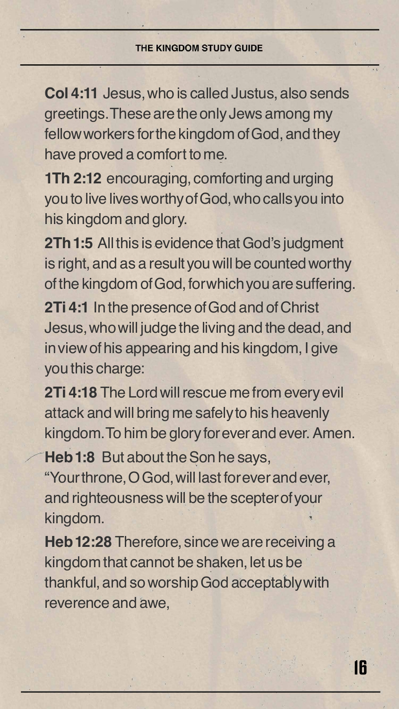

**Col 4:11** Jesus, who is called Justus, also sends greetings. These are the only Jews among my fellow workers for the kingdom of God, and they have proved a comfort to me.

**1Th 2:12** encouraging, comforting and urging you to live lives worthy of God, who calls you into his kingdom and glory.

**2Th 1:5** All this is evidence that God's judgment is right, and as a result you will be counted worthy of the kingdom of God, for which you are suffering. **2Ti 4:1** In the presence of God and of Christ Jesus, who will judge the living and the dead, and in view of his appearing and his kingdom, I give you this charge:

**2Ti 4:18** The Lord will rescue me from every evil attack and will bring me safely to his heavenly kingdom. To him be glory for ever and ever. Amen. **Heb 1:8** But about the Son he says, "Your throne, O God, will last for ever and ever, and righteousness will be the scepter of your kingdom.

**Heb 12:28** Therefore, since we are receiving a kingdom that cannot be shaken, let us be thankful, and so worship God acceptably with reverence and awe,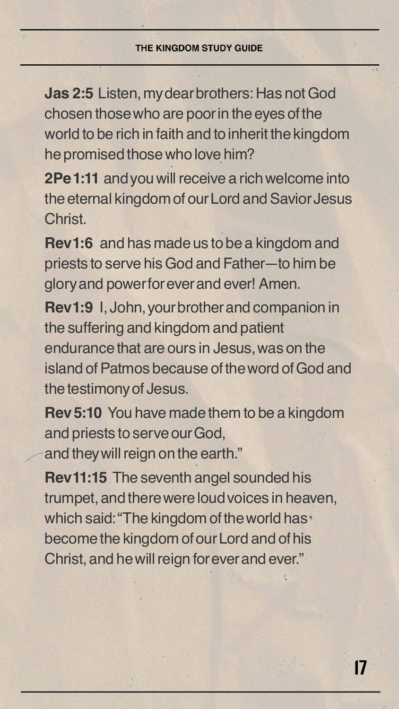

**Jas 2:5** Listen, my dear brothers: Has not God chosen those who are poor in the eyes of the world to be rich in faith and to inherit the kingdom he promised those who love him?

**2Pe 1:11** and you will receive a rich welcome into the eternal kingdom of our Lord and Savior Jesus Christ.

**Rev 1:6** and has made us to be a kingdom and priests to serve his God and Father—to him be glory and power for ever and ever! Amen.

**Rev 1:9** I, John, your brother and companion in the suffering and kingdom and patient endurance that are ours in Jesus, was on the island of Patmos because of the word of God and the testimony of Jesus.

**Rev 5:10** You have made them to be a kingdom and priests to serve our God, and they will reign on the earth." **Rev 11:15** The seventh angel sounded his trumpet, and there were loud voices in heaven, which said: "The kingdom of the world has" become the kingdom of our Lord and of his Christ, and he will reign for ever and ever."